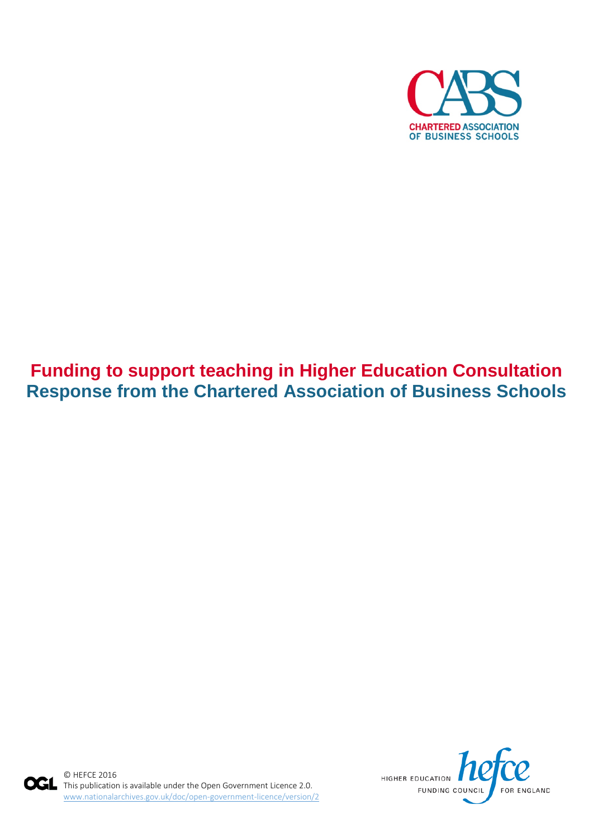

# **Funding to support teaching in Higher Education Consultation Response from the Chartered Association of Business Schools**



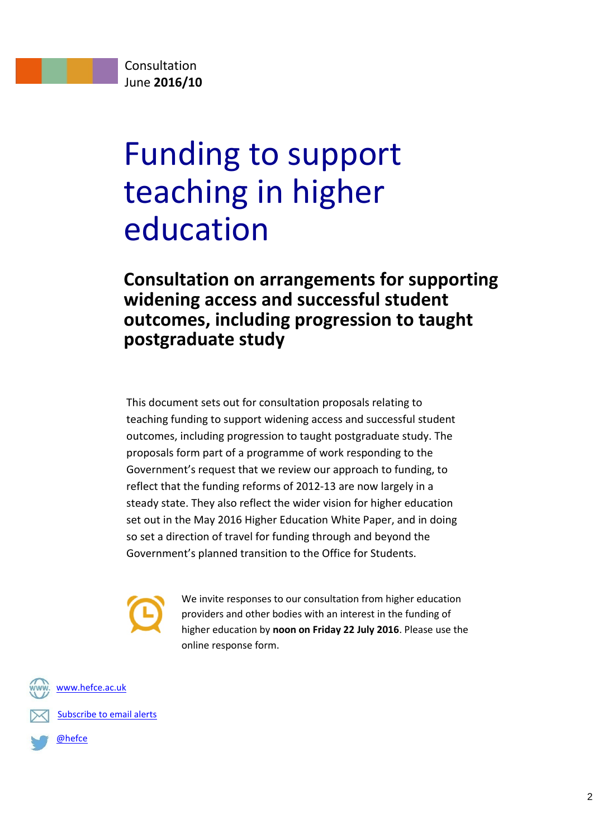# Funding to support teaching in higher education

# **Consultation on arrangements for supporting widening access and successful student outcomes, including progression to taught postgraduate study**

This document sets out for consultation proposals relating to teaching funding to support widening access and successful student outcomes, including progression to taught postgraduate study. The proposals form part of a programme of work responding to the Government's request that we review our approach to funding, to reflect that the funding reforms of 2012-13 are now largely in a steady state. They also reflect the wider vision for higher education set out in the May 2016 Higher Education White Paper, and in doing so set a direction of travel for funding through and beyond the Government's planned transition to the Office for Students.

We invite responses to our consultation from higher education providers and other bodies with an interest in the funding of higher education by **noon on Friday 22 July 2016**. Please use the online response form.



[Subscribe to email alerts](http://www.hefce.ac.uk/pubs/ealert/)

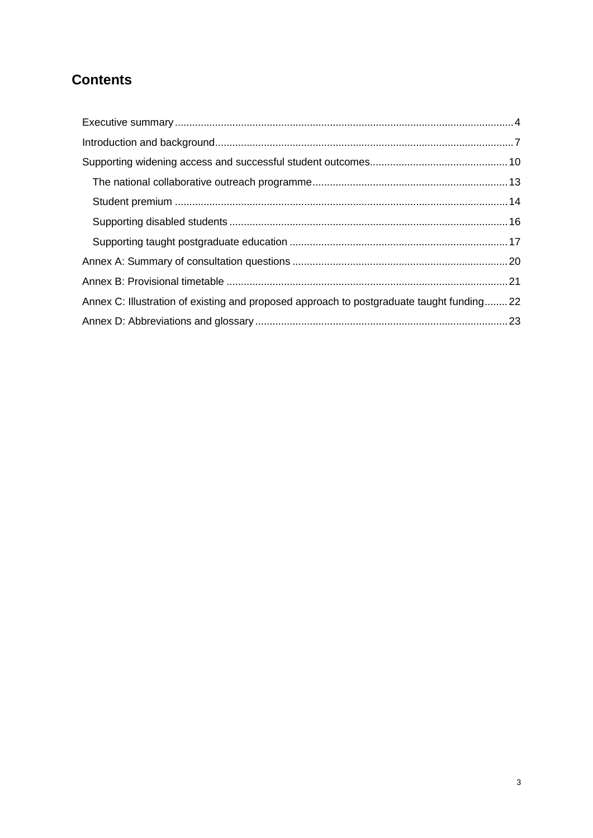# **Contents**

| Annex C: Illustration of existing and proposed approach to postgraduate taught funding22 |  |
|------------------------------------------------------------------------------------------|--|
|                                                                                          |  |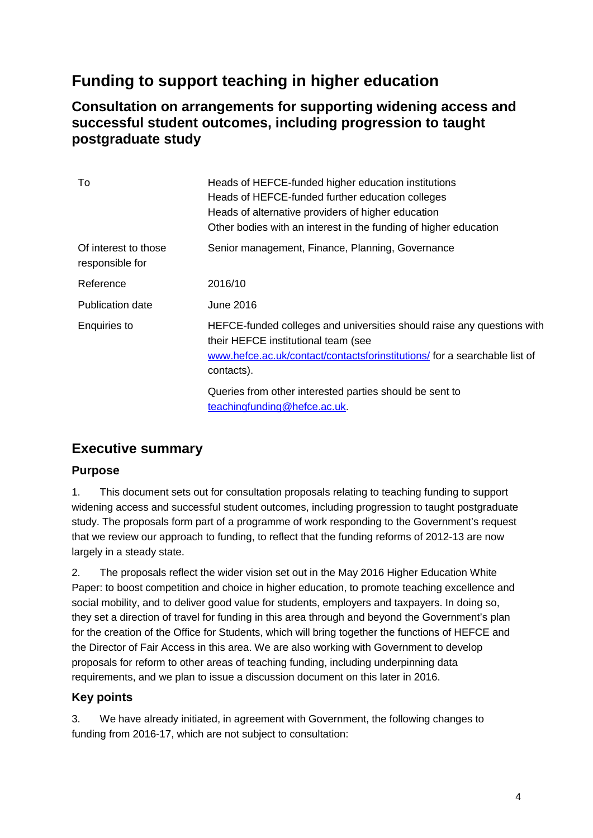# **Funding to support teaching in higher education**

## **Consultation on arrangements for supporting widening access and successful student outcomes, including progression to taught postgraduate study**

| To                                      | Heads of HEFCE-funded higher education institutions<br>Heads of HEFCE-funded further education colleges<br>Heads of alternative providers of higher education<br>Other bodies with an interest in the funding of higher education |
|-----------------------------------------|-----------------------------------------------------------------------------------------------------------------------------------------------------------------------------------------------------------------------------------|
| Of interest to those<br>responsible for | Senior management, Finance, Planning, Governance                                                                                                                                                                                  |
| Reference                               | 2016/10                                                                                                                                                                                                                           |
| Publication date                        | June 2016                                                                                                                                                                                                                         |
| Enquiries to                            | HEFCE-funded colleges and universities should raise any questions with<br>their HEFCE institutional team (see<br>www.hefce.ac.uk/contact/contactsforinstitutions/ for a searchable list of<br>contacts).                          |
|                                         | Queries from other interested parties should be sent to<br>teachingfunding@hefce.ac.uk.                                                                                                                                           |

# <span id="page-3-0"></span>**Executive summary**

## **Purpose**

1. This document sets out for consultation proposals relating to teaching funding to support widening access and successful student outcomes, including progression to taught postgraduate study. The proposals form part of a programme of work responding to the Government's request that we review our approach to funding, to reflect that the funding reforms of 2012-13 are now largely in a steady state.

2. The proposals reflect the wider vision set out in the May 2016 Higher Education White Paper: to boost competition and choice in higher education, to promote teaching excellence and social mobility, and to deliver good value for students, employers and taxpayers. In doing so, they set a direction of travel for funding in this area through and beyond the Government's plan for the creation of the Office for Students, which will bring together the functions of HEFCE and the Director of Fair Access in this area. We are also working with Government to develop proposals for reform to other areas of teaching funding, including underpinning data requirements, and we plan to issue a discussion document on this later in 2016.

## **Key points**

3. We have already initiated, in agreement with Government, the following changes to funding from 2016-17, which are not subject to consultation: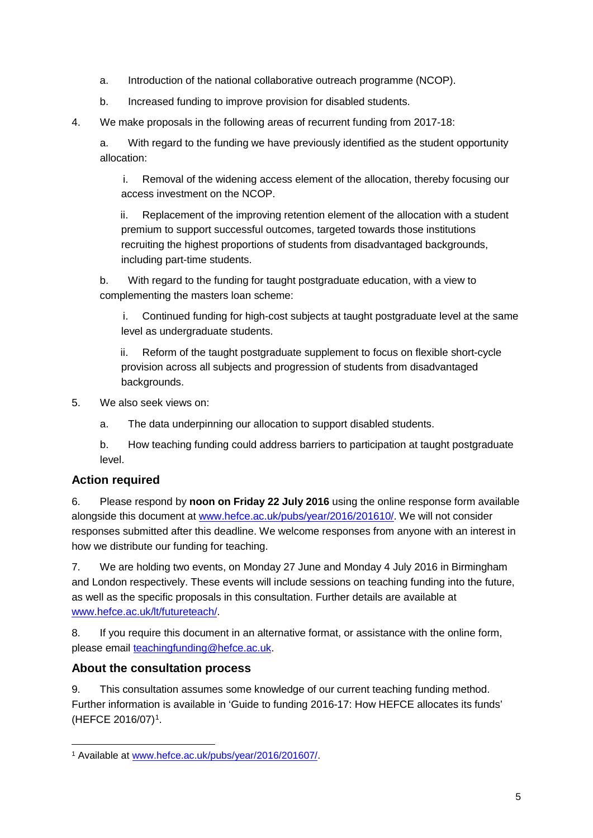- a. Introduction of the national collaborative outreach programme (NCOP).
- b. Increased funding to improve provision for disabled students.
- 4. We make proposals in the following areas of recurrent funding from 2017-18:

a. With regard to the funding we have previously identified as the student opportunity allocation:

i. Removal of the widening access element of the allocation, thereby focusing our access investment on the NCOP.

ii. Replacement of the improving retention element of the allocation with a student premium to support successful outcomes, targeted towards those institutions recruiting the highest proportions of students from disadvantaged backgrounds, including part-time students.

b. With regard to the funding for taught postgraduate education, with a view to complementing the masters loan scheme:

i. Continued funding for high-cost subjects at taught postgraduate level at the same level as undergraduate students.

ii. Reform of the taught postgraduate supplement to focus on flexible short-cycle provision across all subjects and progression of students from disadvantaged backgrounds.

- 5. We also seek views on:
	- a. The data underpinning our allocation to support disabled students.
	- b. How teaching funding could address barriers to participation at taught postgraduate level.

## **Action required**

6. Please respond by **noon on Friday 22 July 2016** using the online response form available alongside this document at [www.hefce.ac.uk/pubs/year/2016/201610/.](http://www.hefce.ac.uk/pubs/year/2016/201610/) We will not consider responses submitted after this deadline. We welcome responses from anyone with an interest in how we distribute our funding for teaching.

7. We are holding two events, on Monday 27 June and Monday 4 July 2016 in Birmingham and London respectively. These events will include sessions on teaching funding into the future, as well as the specific proposals in this consultation. Further details are available at [www.hefce.ac.uk/lt/futureteach/.](http://www.hefce.ac.uk/lt/futureteach/)

8. If you require this document in an alternative format, or assistance with the online form, please email [teachingfunding@hefce.ac.uk.](mailto:teachingfunding@hefce.ac.uk)

#### **About the consultation process**

9. This consultation assumes some knowledge of our current teaching funding method. Further information is available in 'Guide to funding 2016-17: How HEFCE allocates its funds' (HEFCE 2016/07)[1.](#page-4-0)

<span id="page-4-0"></span> <sup>1</sup> Available at www.hefce.ac.uk/pubs/year/2016/201607/.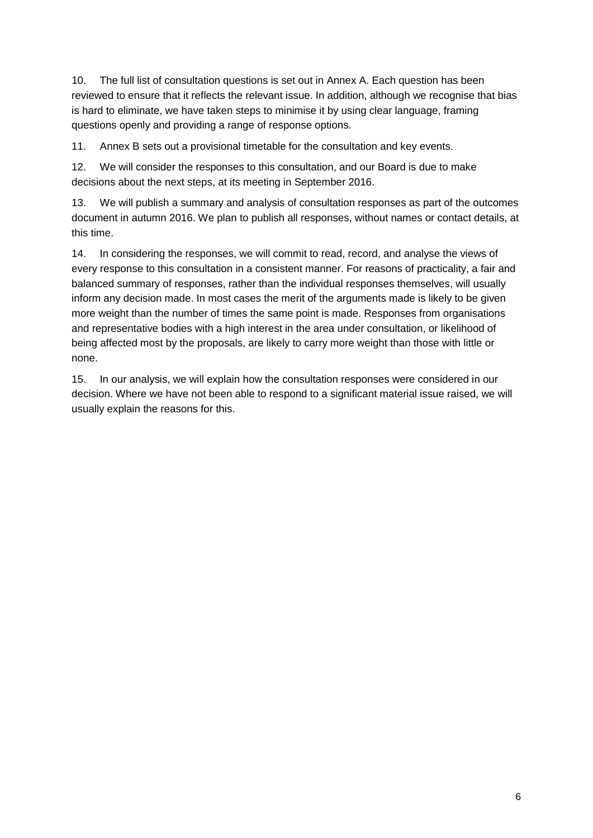10. The full list of consultation questions is set out in Annex A. Each question has been reviewed to ensure that it reflects the relevant issue. In addition, although we recognise that bias is hard to eliminate, we have taken steps to minimise it by using clear language, framing questions openly and providing a range of response options.

11. Annex B sets out a provisional timetable for the consultation and key events.

12. We will consider the responses to this consultation, and our Board is due to make decisions about the next steps, at its meeting in September 2016.

13. We will publish a summary and analysis of consultation responses as part of the outcomes document in autumn 2016. We plan to publish all responses, without names or contact details, at this time.

14. In considering the responses, we will commit to read, record, and analyse the views of every response to this consultation in a consistent manner. For reasons of practicality, a fair and balanced summary of responses, rather than the individual responses themselves, will usually inform any decision made. In most cases the merit of the arguments made is likely to be given more weight than the number of times the same point is made. Responses from organisations and representative bodies with a high interest in the area under consultation, or likelihood of being affected most by the proposals, are likely to carry more weight than those with little or none.

15. In our analysis, we will explain how the consultation responses were considered in our decision. Where we have not been able to respond to a significant material issue raised, we will usually explain the reasons for this.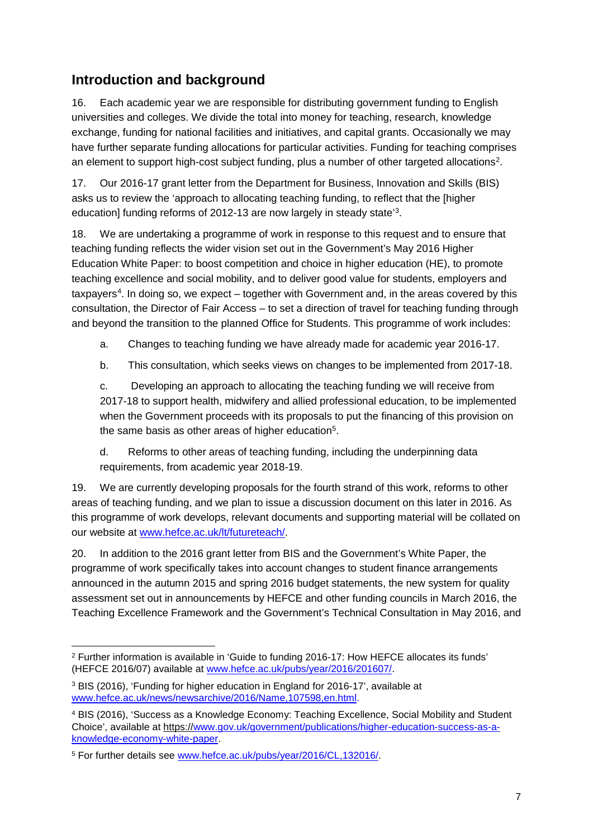# <span id="page-6-0"></span>**Introduction and background**

16. Each academic year we are responsible for distributing government funding to English universities and colleges. We divide the total into money for teaching, research, knowledge exchange, funding for national facilities and initiatives, and capital grants. Occasionally we may have further separate funding allocations for particular activities. Funding for teaching comprises an element to support high-cost subject funding, plus a number of other targeted allocations<sup>2</sup>.

17. Our 2016-17 grant letter from the Department for Business, Innovation and Skills (BIS) asks us to review the 'approach to allocating teaching funding, to reflect that the [higher education] funding reforms of 2012-13 are now largely in steady state'[3.](#page-6-2)

18. We are undertaking a programme of work in response to this request and to ensure that teaching funding reflects the wider vision set out in the Government's May 2016 Higher Education White Paper: to boost competition and choice in higher education (HE), to promote teaching excellence and social mobility, and to deliver good value for students, employers and taxpayers<sup>4</sup>. In doing so, we expect – together with Government and, in the areas covered by this consultation, the Director of Fair Access – to set a direction of travel for teaching funding through and beyond the transition to the planned Office for Students. This programme of work includes:

a. Changes to teaching funding we have already made for academic year 2016-17.

b. This consultation, which seeks views on changes to be implemented from 2017-18.

c. Developing an approach to allocating the teaching funding we will receive from 2017-18 to support health, midwifery and allied professional education, to be implemented when the Government proceeds with its proposals to put the financing of this provision on the same basis as other areas of higher education<sup>5</sup>.

d. Reforms to other areas of teaching funding, including the underpinning data requirements, from academic year 2018-19.

19. We are currently developing proposals for the fourth strand of this work, reforms to other areas of teaching funding, and we plan to issue a discussion document on this later in 2016. As this programme of work develops, relevant documents and supporting material will be collated on our website at [www.hefce.ac.uk/lt/futureteach/.](http://www.hefce.ac.uk/lt/futureteach/)

20. In addition to the 2016 grant letter from BIS and the Government's White Paper, the programme of work specifically takes into account changes to student finance arrangements announced in the autumn 2015 and spring 2016 budget statements, the new system for quality assessment set out in announcements by HEFCE and other funding councils in March 2016, the Teaching Excellence Framework and the Government's Technical Consultation in May 2016, and

<span id="page-6-1"></span> <sup>2</sup> Further information is available in 'Guide to funding 2016-17: How HEFCE allocates its funds' (HEFCE 2016/07) available at www.hefce.ac.uk/pubs/year/2016/201607/.

<span id="page-6-2"></span><sup>3</sup> BIS (2016), 'Funding for higher education in England for 2016-17', available at [www.hefce.ac.uk/news/newsarchive/2016/Name,107598,en.html.](http://www.hefce.ac.uk/news/newsarchive/2016/Name,107598,en.html)

<span id="page-6-3"></span><sup>4</sup> BIS (2016), 'Success as a Knowledge Economy: Teaching Excellence, Social Mobility and Student Choice', available at https:/[/www.gov.uk/government/publications/higher-education-success-as-a](http://www.gov.uk/government/publications/higher-education-success-as-a-knowledge-economy-white-paper)[knowledge-economy-white-paper.](http://www.gov.uk/government/publications/higher-education-success-as-a-knowledge-economy-white-paper)

<span id="page-6-4"></span><sup>5</sup> For further details see [www.hefce.ac.uk/pubs/year/2016/CL,132016/.](http://www.hefce.ac.uk/pubs/year/2016/CL,132016/)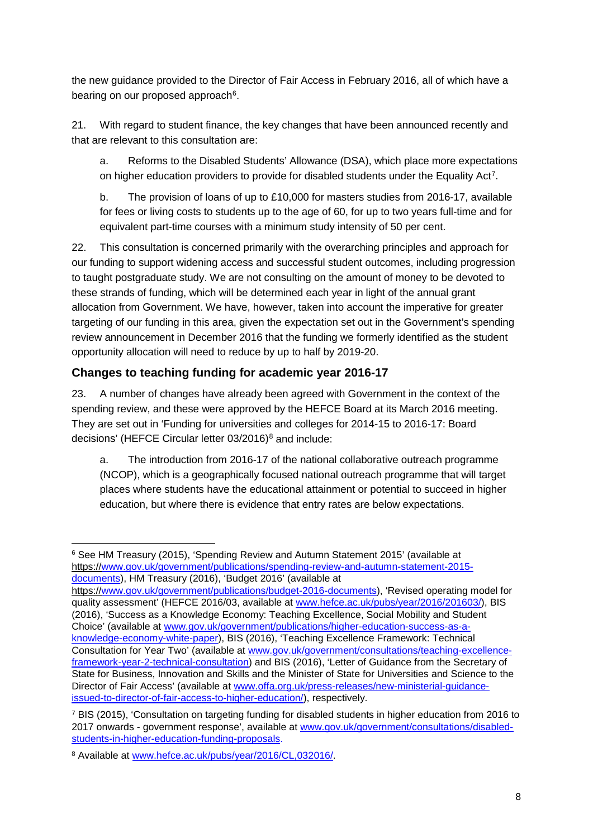the new guidance provided to the Director of Fair Access in February 2016, all of which have a bearing on our proposed approach<sup>6</sup>.

21. With regard to student finance, the key changes that have been announced recently and that are relevant to this consultation are:

a. Reforms to the Disabled Students' Allowance (DSA), which place more expectations on higher education providers to provide for disabled students under the Equality Act<sup>7</sup>.

b. The provision of loans of up to £10,000 for masters studies from 2016-17, available for fees or living costs to students up to the age of 60, for up to two years full-time and for equivalent part-time courses with a minimum study intensity of 50 per cent.

22. This consultation is concerned primarily with the overarching principles and approach for our funding to support widening access and successful student outcomes, including progression to taught postgraduate study. We are not consulting on the amount of money to be devoted to these strands of funding, which will be determined each year in light of the annual grant allocation from Government. We have, however, taken into account the imperative for greater targeting of our funding in this area, given the expectation set out in the Government's spending review announcement in December 2016 that the funding we formerly identified as the student opportunity allocation will need to reduce by up to half by 2019-20.

## **Changes to teaching funding for academic year 2016-17**

23. A number of changes have already been agreed with Government in the context of the spending review, and these were approved by the HEFCE Board at its March 2016 meeting. They are set out in 'Funding for universities and colleges for 2014-15 to 2016-17: Board decisions' (HEFCE Circular letter 03/2016)[8](#page-7-2) and include:

a. The introduction from 2016-17 of the national collaborative outreach programme (NCOP), which is a geographically focused national outreach programme that will target places where students have the educational attainment or potential to succeed in higher education, but where there is evidence that entry rates are below expectations.

<span id="page-7-0"></span> <sup>6</sup> See HM Treasury (2015), 'Spending Review and Autumn Statement 2015' (available at https:/[/www.gov.uk/government/publications/spending-review-and-autumn-statement-2015](https://www.gov.uk/government/publications/spending-review-and-autumn-statement-2015-documents) [documents\)](https://www.gov.uk/government/publications/spending-review-and-autumn-statement-2015-documents), HM Treasury (2016), 'Budget 2016' (available at

https:/[/www.gov.uk/government/publications/budget-2016-documents\)](https://www.gov.uk/government/publications/budget-2016-documents), 'Revised operating model for quality assessment' (HEFCE 2016/03, available at [www.hefce.ac.uk/pubs/year/2016/201603/\)](http://www.hefce.ac.uk/pubs/year/2016/201603/), BIS (2016), 'Success as a Knowledge Economy: Teaching Excellence, Social Mobility and Student Choice' (available at [www.gov.uk/government/publications/higher-education-success-as-a](https://www.gov.uk/government/publications/higher-education-success-as-a-knowledge-economy-white-paper)[knowledge-economy-white-paper\)](https://www.gov.uk/government/publications/higher-education-success-as-a-knowledge-economy-white-paper), BIS (2016), 'Teaching Excellence Framework: Technical Consultation for Year Two' (available at [www.gov.uk/government/consultations/teaching-excellence](https://www.gov.uk/government/consultations/teaching-excellence-framework-year-2-technical-consultation)[framework-year-2-technical-consultation\)](https://www.gov.uk/government/consultations/teaching-excellence-framework-year-2-technical-consultation) and BIS (2016), 'Letter of Guidance from the Secretary of State for Business, Innovation and Skills and the Minister of State for Universities and Science to the Director of Fair Access' (available at [www.offa.org.uk/press-releases/new-ministerial-guidance](http://www.offa.org.uk/press-releases/new-ministerial-guidance-issued-to-director-of-fair-access-to-higher-education/)[issued-to-director-of-fair-access-to-higher-education/\)](http://www.offa.org.uk/press-releases/new-ministerial-guidance-issued-to-director-of-fair-access-to-higher-education/), respectively.

<span id="page-7-1"></span><sup>7</sup> BIS (2015), 'Consultation on targeting funding for disabled students in higher education from 2016 to 2017 onwards - government response', available at [www.gov.uk/government/consultations/disabled](http://www.gov.uk/government/consultations/disabled-students-in-higher-education-funding-proposals)[students-in-higher-education-funding-proposals.](http://www.gov.uk/government/consultations/disabled-students-in-higher-education-funding-proposals)

<span id="page-7-2"></span><sup>8</sup> Available at [www.hefce.ac.uk/pubs/year/2016/CL,032016/.](http://www.hefce.ac.uk/pubs/year/2016/CL,032016/)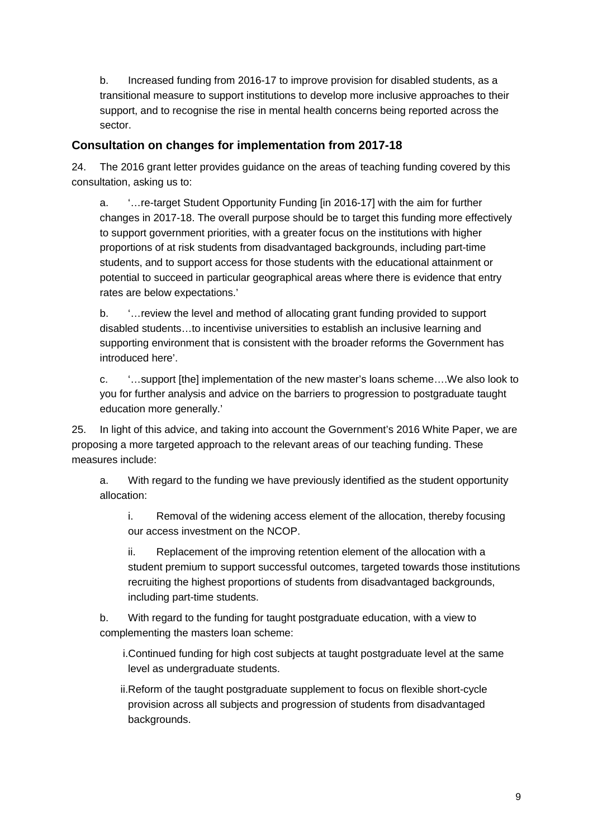b. Increased funding from 2016-17 to improve provision for disabled students, as a transitional measure to support institutions to develop more inclusive approaches to their support, and to recognise the rise in mental health concerns being reported across the sector.

#### **Consultation on changes for implementation from 2017-18**

24. The 2016 grant letter provides guidance on the areas of teaching funding covered by this consultation, asking us to:

a. '…re-target Student Opportunity Funding [in 2016-17] with the aim for further changes in 2017-18. The overall purpose should be to target this funding more effectively to support government priorities, with a greater focus on the institutions with higher proportions of at risk students from disadvantaged backgrounds, including part-time students, and to support access for those students with the educational attainment or potential to succeed in particular geographical areas where there is evidence that entry rates are below expectations.'

b. '…review the level and method of allocating grant funding provided to support disabled students…to incentivise universities to establish an inclusive learning and supporting environment that is consistent with the broader reforms the Government has introduced here'.

c. '…support [the] implementation of the new master's loans scheme….We also look to you for further analysis and advice on the barriers to progression to postgraduate taught education more generally.'

25. In light of this advice, and taking into account the Government's 2016 White Paper, we are proposing a more targeted approach to the relevant areas of our teaching funding. These measures include:

a. With regard to the funding we have previously identified as the student opportunity allocation:

i. Removal of the widening access element of the allocation, thereby focusing our access investment on the NCOP.

ii. Replacement of the improving retention element of the allocation with a student premium to support successful outcomes, targeted towards those institutions recruiting the highest proportions of students from disadvantaged backgrounds, including part-time students.

b. With regard to the funding for taught postgraduate education, with a view to complementing the masters loan scheme:

i.Continued funding for high cost subjects at taught postgraduate level at the same level as undergraduate students.

ii.Reform of the taught postgraduate supplement to focus on flexible short-cycle provision across all subjects and progression of students from disadvantaged backgrounds.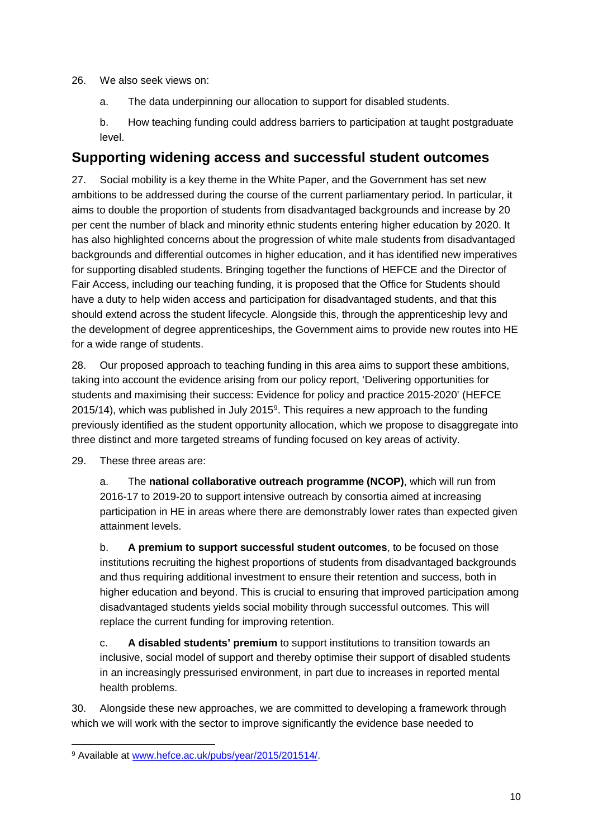26. We also seek views on:

a. The data underpinning our allocation to support for disabled students.

b. How teaching funding could address barriers to participation at taught postgraduate level.

## <span id="page-9-0"></span>**Supporting widening access and successful student outcomes**

27. Social mobility is a key theme in the White Paper, and the Government has set new ambitions to be addressed during the course of the current parliamentary period. In particular, it aims to double the proportion of students from disadvantaged backgrounds and increase by 20 per cent the number of black and minority ethnic students entering higher education by 2020. It has also highlighted concerns about the progression of white male students from disadvantaged backgrounds and differential outcomes in higher education, and it has identified new imperatives for supporting disabled students. Bringing together the functions of HEFCE and the Director of Fair Access, including our teaching funding, it is proposed that the Office for Students should have a duty to help widen access and participation for disadvantaged students, and that this should extend across the student lifecycle. Alongside this, through the apprenticeship levy and the development of degree apprenticeships, the Government aims to provide new routes into HE for a wide range of students.

28. Our proposed approach to teaching funding in this area aims to support these ambitions, taking into account the evidence arising from our policy report, 'Delivering opportunities for students and maximising their success: Evidence for policy and practice 2015-2020' (HEFCE 2015/14), which was published in July 2015 $9$ . This requires a new approach to the funding previously identified as the student opportunity allocation, which we propose to disaggregate into three distinct and more targeted streams of funding focused on key areas of activity.

29. These three areas are:

a. The **national collaborative outreach programme (NCOP)**, which will run from 2016-17 to 2019-20 to support intensive outreach by consortia aimed at increasing participation in HE in areas where there are demonstrably lower rates than expected given attainment levels.

b. **A premium to support successful student outcomes**, to be focused on those institutions recruiting the highest proportions of students from disadvantaged backgrounds and thus requiring additional investment to ensure their retention and success, both in higher education and beyond. This is crucial to ensuring that improved participation among disadvantaged students yields social mobility through successful outcomes. This will replace the current funding for improving retention.

c. **A disabled students' premium** to support institutions to transition towards an inclusive, social model of support and thereby optimise their support of disabled students in an increasingly pressurised environment, in part due to increases in reported mental health problems.

30. Alongside these new approaches, we are committed to developing a framework through which we will work with the sector to improve significantly the evidence base needed to

<span id="page-9-1"></span><sup>&</sup>lt;sup>9</sup> Available at [www.hefce.ac.uk/pubs/year/2015/201514/.](http://www.hefce.ac.uk/pubs/year/2015/201514/)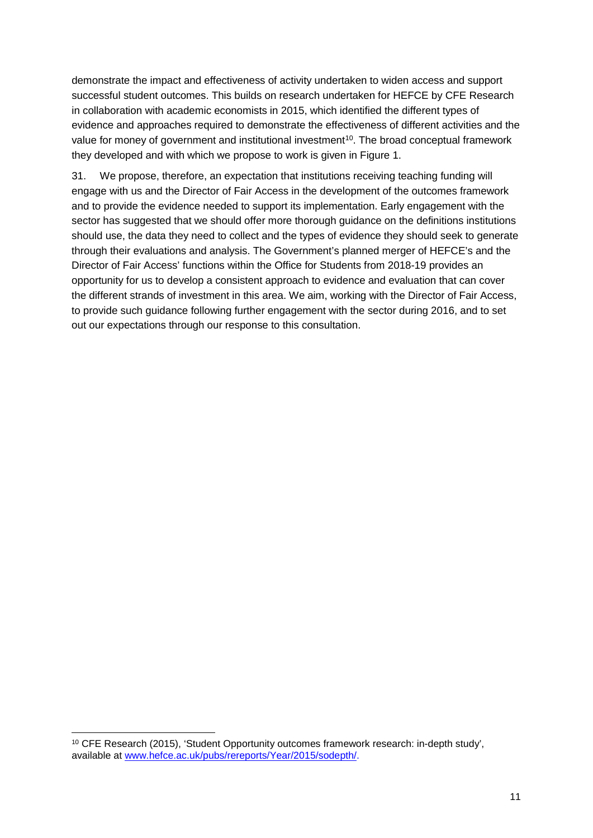demonstrate the impact and effectiveness of activity undertaken to widen access and support successful student outcomes. This builds on research undertaken for HEFCE by CFE Research in collaboration with academic economists in 2015, which identified the different types of evidence and approaches required to demonstrate the effectiveness of different activities and the value for money of government and institutional investment<sup>10</sup>. The broad conceptual framework they developed and with which we propose to work is given in Figure 1.

31. We propose, therefore, an expectation that institutions receiving teaching funding will engage with us and the Director of Fair Access in the development of the outcomes framework and to provide the evidence needed to support its implementation. Early engagement with the sector has suggested that we should offer more thorough guidance on the definitions institutions should use, the data they need to collect and the types of evidence they should seek to generate through their evaluations and analysis. The Government's planned merger of HEFCE's and the Director of Fair Access' functions within the Office for Students from 2018-19 provides an opportunity for us to develop a consistent approach to evidence and evaluation that can cover the different strands of investment in this area. We aim, working with the Director of Fair Access, to provide such guidance following further engagement with the sector during 2016, and to set out our expectations through our response to this consultation.

<span id="page-10-0"></span> <sup>10</sup> CFE Research (2015), 'Student Opportunity outcomes framework research: in-depth study', available at [www.hefce.ac.uk/pubs/rereports/Year/2015/sodepth/.](http://www.hefce.ac.uk/pubs/rereports/Year/2015/sodepth/)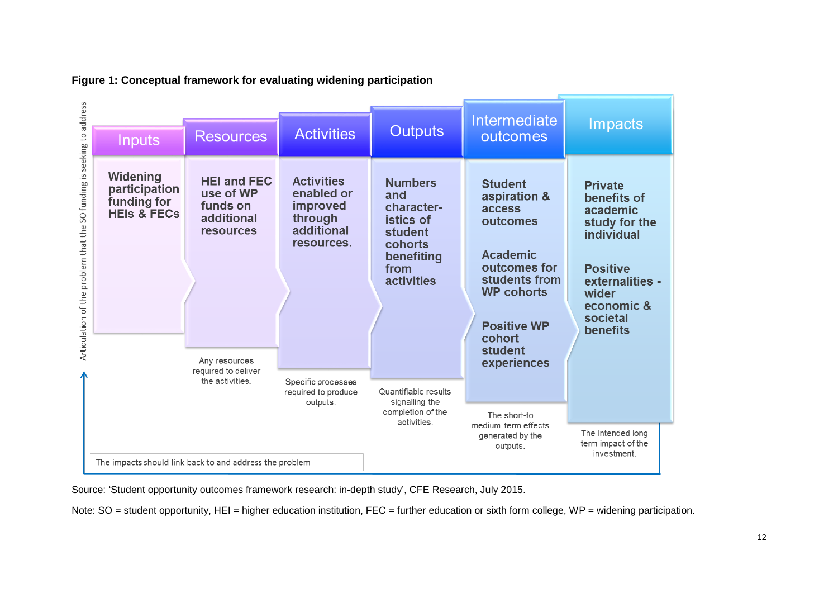

**Figure 1: Conceptual framework for evaluating widening participation**

Source: 'Student opportunity outcomes framework research: in-depth study', CFE Research, July 2015.

Note: SO = student opportunity, HEI = higher education institution, FEC = further education or sixth form college, WP = widening participation.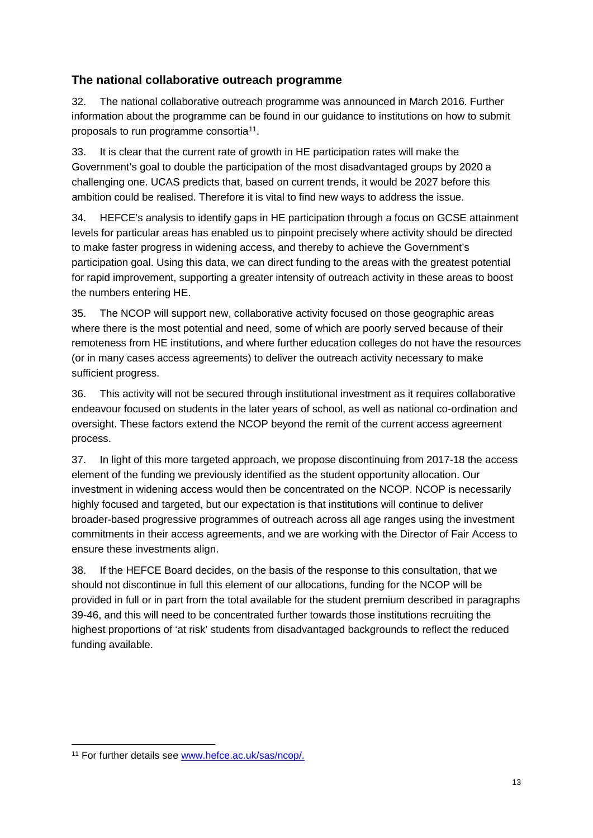## <span id="page-12-0"></span>**The national collaborative outreach programme**

32. The national collaborative outreach programme was announced in March 2016. Further information about the programme can be found in our guidance to institutions on how to submit proposals to run programme consortia[11.](#page-12-1)

33. It is clear that the current rate of growth in HE participation rates will make the Government's goal to double the participation of the most disadvantaged groups by 2020 a challenging one. UCAS predicts that, based on current trends, it would be 2027 before this ambition could be realised. Therefore it is vital to find new ways to address the issue.

34. HEFCE's analysis to identify gaps in HE participation through a focus on GCSE attainment levels for particular areas has enabled us to pinpoint precisely where activity should be directed to make faster progress in widening access, and thereby to achieve the Government's participation goal. Using this data, we can direct funding to the areas with the greatest potential for rapid improvement, supporting a greater intensity of outreach activity in these areas to boost the numbers entering HE.

35. The NCOP will support new, collaborative activity focused on those geographic areas where there is the most potential and need, some of which are poorly served because of their remoteness from HE institutions, and where further education colleges do not have the resources (or in many cases access agreements) to deliver the outreach activity necessary to make sufficient progress.

36. This activity will not be secured through institutional investment as it requires collaborative endeavour focused on students in the later years of school, as well as national co-ordination and oversight. These factors extend the NCOP beyond the remit of the current access agreement process.

37. In light of this more targeted approach, we propose discontinuing from 2017-18 the access element of the funding we previously identified as the student opportunity allocation. Our investment in widening access would then be concentrated on the NCOP. NCOP is necessarily highly focused and targeted, but our expectation is that institutions will continue to deliver broader-based progressive programmes of outreach across all age ranges using the investment commitments in their access agreements, and we are working with the Director of Fair Access to ensure these investments align.

38. If the HEFCE Board decides, on the basis of the response to this consultation, that we should not discontinue in full this element of our allocations, funding for the NCOP will be provided in full or in part from the total available for the student premium described in paragraphs 39-46, and this will need to be concentrated further towards those institutions recruiting the highest proportions of 'at risk' students from disadvantaged backgrounds to reflect the reduced funding available.

<span id="page-12-1"></span><sup>&</sup>lt;sup>11</sup> For further details see [www.hefce.ac.uk/sas/ncop/.](http://www.hefce.ac.uk/sas/ncop/)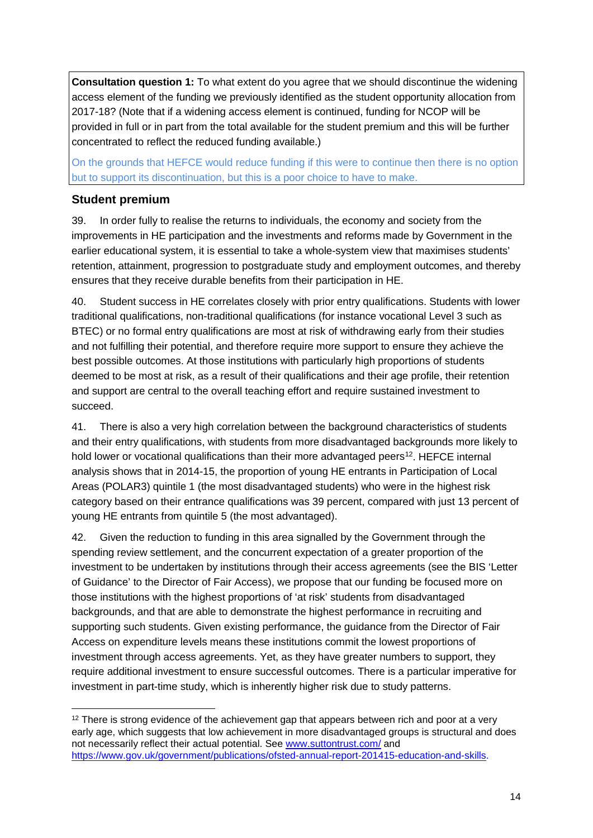**Consultation question 1:** To what extent do you agree that we should discontinue the widening access element of the funding we previously identified as the student opportunity allocation from 2017-18? (Note that if a widening access element is continued, funding for NCOP will be provided in full or in part from the total available for the student premium and this will be further concentrated to reflect the reduced funding available.)

On the grounds that HEFCE would reduce funding if this were to continue then there is no option but to support its discontinuation, but this is a poor choice to have to make.

#### <span id="page-13-0"></span>**Student premium**

39. In order fully to realise the returns to individuals, the economy and society from the improvements in HE participation and the investments and reforms made by Government in the earlier educational system, it is essential to take a whole-system view that maximises students' retention, attainment, progression to postgraduate study and employment outcomes, and thereby ensures that they receive durable benefits from their participation in HE.

40. Student success in HE correlates closely with prior entry qualifications. Students with lower traditional qualifications, non-traditional qualifications (for instance vocational Level 3 such as BTEC) or no formal entry qualifications are most at risk of withdrawing early from their studies and not fulfilling their potential, and therefore require more support to ensure they achieve the best possible outcomes. At those institutions with particularly high proportions of students deemed to be most at risk, as a result of their qualifications and their age profile, their retention and support are central to the overall teaching effort and require sustained investment to succeed.

41. There is also a very high correlation between the background characteristics of students and their entry qualifications, with students from more disadvantaged backgrounds more likely to hold lower or vocational qualifications than their more advantaged peers<sup>12</sup>. HEFCE internal analysis shows that in 2014-15, the proportion of young HE entrants in Participation of Local Areas (POLAR3) quintile 1 (the most disadvantaged students) who were in the highest risk category based on their entrance qualifications was 39 percent, compared with just 13 percent of young HE entrants from quintile 5 (the most advantaged).

42. Given the reduction to funding in this area signalled by the Government through the spending review settlement, and the concurrent expectation of a greater proportion of the investment to be undertaken by institutions through their access agreements (see the BIS 'Letter of Guidance' to the Director of Fair Access), we propose that our funding be focused more on those institutions with the highest proportions of 'at risk' students from disadvantaged backgrounds, and that are able to demonstrate the highest performance in recruiting and supporting such students. Given existing performance, the guidance from the Director of Fair Access on expenditure levels means these institutions commit the lowest proportions of investment through access agreements. Yet, as they have greater numbers to support, they require additional investment to ensure successful outcomes. There is a particular imperative for investment in part-time study, which is inherently higher risk due to study patterns.

<span id="page-13-1"></span> $12$  There is strong evidence of the achievement gap that appears between rich and poor at a very early age, which suggests that low achievement in more disadvantaged groups is structural and does not necessarily reflect their actual potential. See [www.suttontrust.com/](http://www.suttontrust.com/) and [https://www.gov.uk/government/publications/ofsted-annual-report-201415-education-and-skills.](https://www.gov.uk/government/publications/ofsted-annual-report-201415-education-and-skills)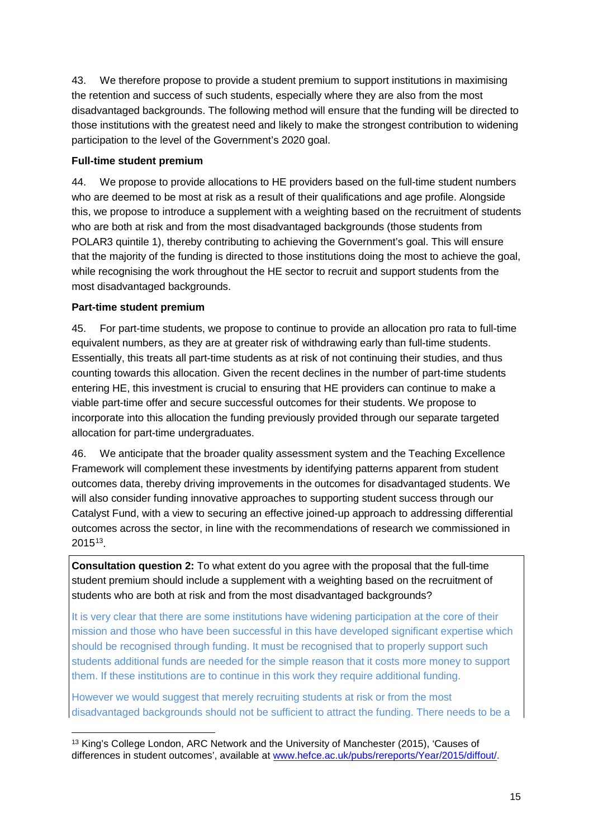43. We therefore propose to provide a student premium to support institutions in maximising the retention and success of such students, especially where they are also from the most disadvantaged backgrounds. The following method will ensure that the funding will be directed to those institutions with the greatest need and likely to make the strongest contribution to widening participation to the level of the Government's 2020 goal.

#### **Full-time student premium**

44. We propose to provide allocations to HE providers based on the full-time student numbers who are deemed to be most at risk as a result of their qualifications and age profile. Alongside this, we propose to introduce a supplement with a weighting based on the recruitment of students who are both at risk and from the most disadvantaged backgrounds (those students from POLAR3 quintile 1), thereby contributing to achieving the Government's goal. This will ensure that the majority of the funding is directed to those institutions doing the most to achieve the goal, while recognising the work throughout the HE sector to recruit and support students from the most disadvantaged backgrounds.

#### **Part-time student premium**

45. For part-time students, we propose to continue to provide an allocation pro rata to full-time equivalent numbers, as they are at greater risk of withdrawing early than full-time students. Essentially, this treats all part-time students as at risk of not continuing their studies, and thus counting towards this allocation. Given the recent declines in the number of part-time students entering HE, this investment is crucial to ensuring that HE providers can continue to make a viable part-time offer and secure successful outcomes for their students. We propose to incorporate into this allocation the funding previously provided through our separate targeted allocation for part-time undergraduates.

46. We anticipate that the broader quality assessment system and the Teaching Excellence Framework will complement these investments by identifying patterns apparent from student outcomes data, thereby driving improvements in the outcomes for disadvantaged students. We will also consider funding innovative approaches to supporting student success through our Catalyst Fund, with a view to securing an effective joined-up approach to addressing differential outcomes across the sector, in line with the recommendations of research we commissioned in 2015[13.](#page-14-0)

**Consultation question 2:** To what extent do you agree with the proposal that the full-time student premium should include a supplement with a weighting based on the recruitment of students who are both at risk and from the most disadvantaged backgrounds?

It is very clear that there are some institutions have widening participation at the core of their mission and those who have been successful in this have developed significant expertise which should be recognised through funding. It must be recognised that to properly support such students additional funds are needed for the simple reason that it costs more money to support them. If these institutions are to continue in this work they require additional funding.

However we would suggest that merely recruiting students at risk or from the most disadvantaged backgrounds should not be sufficient to attract the funding. There needs to be a

<span id="page-14-0"></span> <sup>13</sup> King's College London, ARC Network and the University of Manchester (2015), 'Causes of differences in student outcomes', available at [www.hefce.ac.uk/pubs/rereports/Year/2015/diffout/.](http://www.hefce.ac.uk/pubs/rereports/Year/2015/diffout/)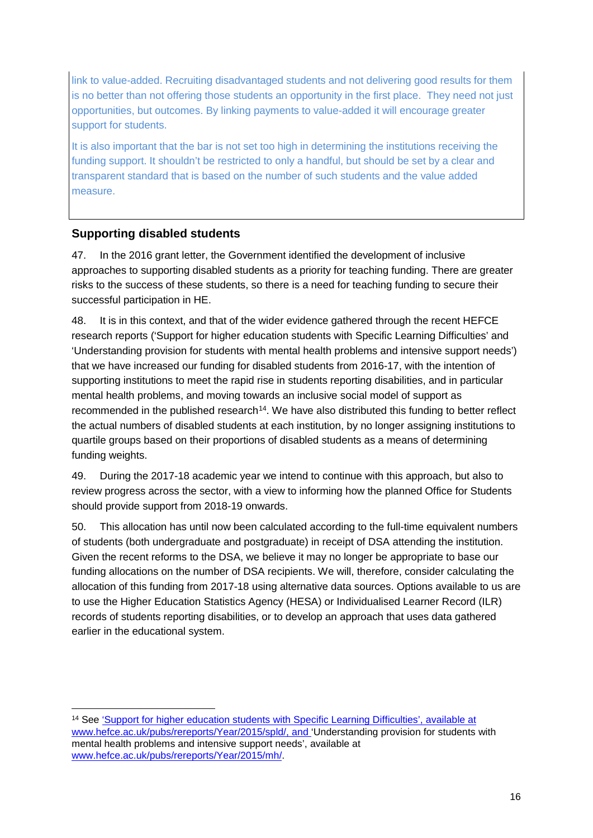link to value-added. Recruiting disadvantaged students and not delivering good results for them is no better than not offering those students an opportunity in the first place. They need not just opportunities, but outcomes. By linking payments to value-added it will encourage greater support for students.

It is also important that the bar is not set too high in determining the institutions receiving the funding support. It shouldn't be restricted to only a handful, but should be set by a clear and transparent standard that is based on the number of such students and the value added measure.

#### <span id="page-15-0"></span>**Supporting disabled students**

47. In the 2016 grant letter, the Government identified the development of inclusive approaches to supporting disabled students as a priority for teaching funding. There are greater risks to the success of these students, so there is a need for teaching funding to secure their successful participation in HE.

48. It is in this context, and that of the wider evidence gathered through the recent HEFCE research reports ('Support for higher education students with Specific Learning Difficulties' and 'Understanding provision for students with mental health problems and intensive support needs') that we have increased our funding for disabled students from 2016-17, with the intention of supporting institutions to meet the rapid rise in students reporting disabilities, and in particular mental health problems, and moving towards an inclusive social model of support as recommended in the published research<sup>14</sup>. We have also distributed this funding to better reflect the actual numbers of disabled students at each institution, by no longer assigning institutions to quartile groups based on their proportions of disabled students as a means of determining funding weights.

49. During the 2017-18 academic year we intend to continue with this approach, but also to review progress across the sector, with a view to informing how the planned Office for Students should provide support from 2018-19 onwards.

50. This allocation has until now been calculated according to the full-time equivalent numbers of students (both undergraduate and postgraduate) in receipt of DSA attending the institution. Given the recent reforms to the DSA, we believe it may no longer be appropriate to base our funding allocations on the number of DSA recipients. We will, therefore, consider calculating the allocation of this funding from 2017-18 using alternative data sources. Options available to us are to use the Higher Education Statistics Agency (HESA) or Individualised Learner Record (ILR) records of students reporting disabilities, or to develop an approach that uses data gathered earlier in the educational system.

<span id="page-15-1"></span> <sup>14</sup> See ['Support for higher education students with Specific Learning Difficulties',](http://www.hefce.ac.uk/pubs/rereports/Year/2015/spld/Title,104722,en.html) available at [www.hefce.ac.uk/pubs/rereports/Year/2015/spld/,](http://www.hefce.ac.uk/pubs/rereports/Year/2015/spld/) and 'Understanding provision for students with mental health problems and intensive support needs', available at [www.hefce.ac.uk/pubs/rereports/Year/2015/mh/.](http://www.hefce.ac.uk/pubs/rereports/Year/2015/mh/)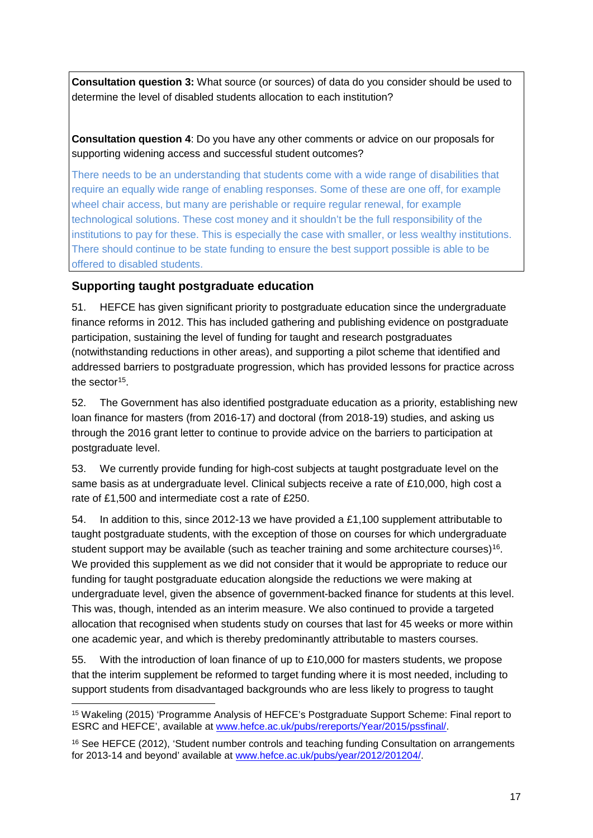**Consultation question 3:** What source (or sources) of data do you consider should be used to determine the level of disabled students allocation to each institution?

**Consultation question 4**: Do you have any other comments or advice on our proposals for supporting widening access and successful student outcomes?

There needs to be an understanding that students come with a wide range of disabilities that require an equally wide range of enabling responses. Some of these are one off, for example wheel chair access, but many are perishable or require regular renewal, for example technological solutions. These cost money and it shouldn't be the full responsibility of the institutions to pay for these. This is especially the case with smaller, or less wealthy institutions. There should continue to be state funding to ensure the best support possible is able to be offered to disabled students.

#### <span id="page-16-0"></span>**Supporting taught postgraduate education**

51. HEFCE has given significant priority to postgraduate education since the undergraduate finance reforms in 2012. This has included gathering and publishing evidence on postgraduate participation, sustaining the level of funding for taught and research postgraduates (notwithstanding reductions in other areas), and supporting a pilot scheme that identified and addressed barriers to postgraduate progression, which has provided lessons for practice across the sector<sup>[15](#page-16-1)</sup>.

52. The Government has also identified postgraduate education as a priority, establishing new loan finance for masters (from 2016-17) and doctoral (from 2018-19) studies, and asking us through the 2016 grant letter to continue to provide advice on the barriers to participation at postgraduate level.

53. We currently provide funding for high-cost subjects at taught postgraduate level on the same basis as at undergraduate level. Clinical subjects receive a rate of £10,000, high cost a rate of £1,500 and intermediate cost a rate of £250.

54. In addition to this, since 2012-13 we have provided a £1,100 supplement attributable to taught postgraduate students, with the exception of those on courses for which undergraduate student support may be available (such as teacher training and some architecture courses)<sup>[16](#page-16-2)</sup>. We provided this supplement as we did not consider that it would be appropriate to reduce our funding for taught postgraduate education alongside the reductions we were making at undergraduate level, given the absence of government-backed finance for students at this level. This was, though, intended as an interim measure. We also continued to provide a targeted allocation that recognised when students study on courses that last for 45 weeks or more within one academic year, and which is thereby predominantly attributable to masters courses.

55. With the introduction of loan finance of up to £10,000 for masters students, we propose that the interim supplement be reformed to target funding where it is most needed, including to support students from disadvantaged backgrounds who are less likely to progress to taught

<span id="page-16-1"></span> <sup>15</sup> Wakeling (2015) 'Programme Analysis of HEFCE's Postgraduate Support Scheme: Final report to ESRC and HEFCE', available at [www.hefce.ac.uk/pubs/rereports/Year/2015/pssfinal/.](http://www.hefce.ac.uk/pubs/rereports/Year/2015/pssfinal/)

<span id="page-16-2"></span><sup>16</sup> See HEFCE (2012), 'Student number controls and teaching funding Consultation on arrangements for 2013-14 and beyond' available at [www.hefce.ac.uk/pubs/year/2012/201204/.](http://www.hefce.ac.uk/pubs/year/2012/201204/)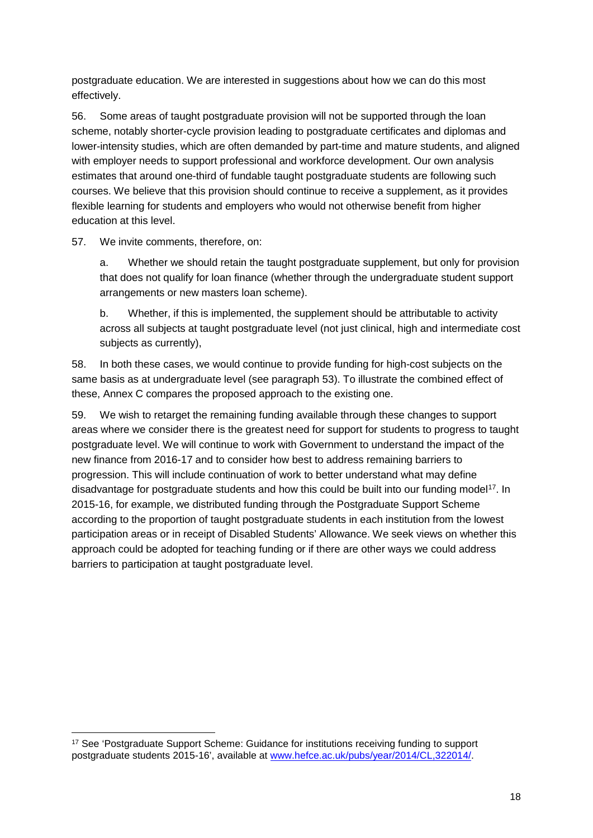postgraduate education. We are interested in suggestions about how we can do this most effectively.

56. Some areas of taught postgraduate provision will not be supported through the loan scheme, notably shorter-cycle provision leading to postgraduate certificates and diplomas and lower-intensity studies, which are often demanded by part-time and mature students, and aligned with employer needs to support professional and workforce development. Our own analysis estimates that around one-third of fundable taught postgraduate students are following such courses. We believe that this provision should continue to receive a supplement, as it provides flexible learning for students and employers who would not otherwise benefit from higher education at this level.

#### 57. We invite comments, therefore, on:

a. Whether we should retain the taught postgraduate supplement, but only for provision that does not qualify for loan finance (whether through the undergraduate student support arrangements or new masters loan scheme).

b. Whether, if this is implemented, the supplement should be attributable to activity across all subjects at taught postgraduate level (not just clinical, high and intermediate cost subjects as currently),

58. In both these cases, we would continue to provide funding for high-cost subjects on the same basis as at undergraduate level (see paragraph 53). To illustrate the combined effect of these, Annex C compares the proposed approach to the existing one.

59. We wish to retarget the remaining funding available through these changes to support areas where we consider there is the greatest need for support for students to progress to taught postgraduate level. We will continue to work with Government to understand the impact of the new finance from 2016-17 and to consider how best to address remaining barriers to progression. This will include continuation of work to better understand what may define disadvantage for postgraduate students and how this could be built into our funding model<sup>[17](#page-17-0)</sup>. In 2015-16, for example, we distributed funding through the Postgraduate Support Scheme according to the proportion of taught postgraduate students in each institution from the lowest participation areas or in receipt of Disabled Students' Allowance. We seek views on whether this approach could be adopted for teaching funding or if there are other ways we could address barriers to participation at taught postgraduate level.

<span id="page-17-0"></span><sup>&</sup>lt;sup>17</sup> See 'Postgraduate Support Scheme: Guidance for institutions receiving funding to support postgraduate students 2015-16', available at [www.hefce.ac.uk/pubs/year/2014/CL,322014/.](http://www.hefce.ac.uk/pubs/year/2014/CL,322014/)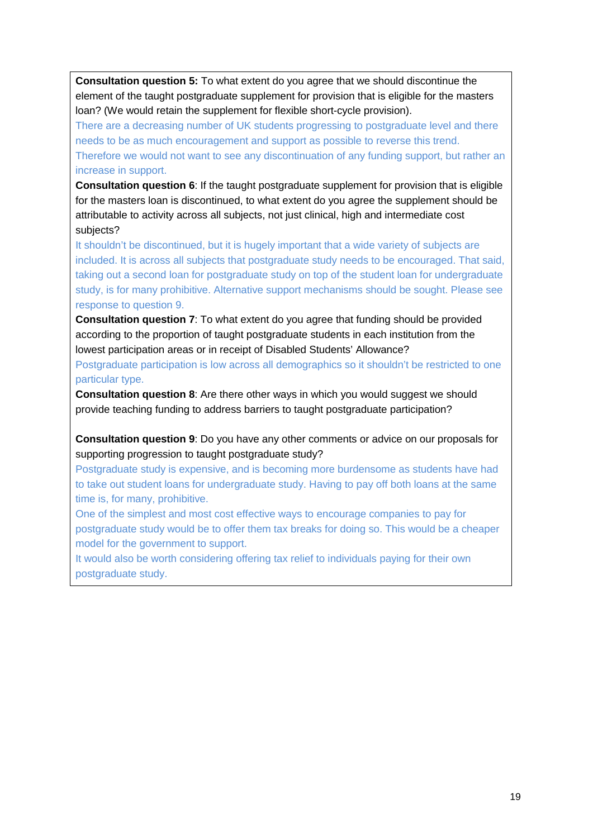**Consultation question 5:** To what extent do you agree that we should discontinue the element of the taught postgraduate supplement for provision that is eligible for the masters loan? (We would retain the supplement for flexible short-cycle provision).

There are a decreasing number of UK students progressing to postgraduate level and there needs to be as much encouragement and support as possible to reverse this trend. Therefore we would not want to see any discontinuation of any funding support, but rather an increase in support.

**Consultation question 6**: If the taught postgraduate supplement for provision that is eligible for the masters loan is discontinued, to what extent do you agree the supplement should be attributable to activity across all subjects, not just clinical, high and intermediate cost subjects?

It shouldn't be discontinued, but it is hugely important that a wide variety of subjects are included. It is across all subjects that postgraduate study needs to be encouraged. That said, taking out a second loan for postgraduate study on top of the student loan for undergraduate study, is for many prohibitive. Alternative support mechanisms should be sought. Please see response to question 9.

**Consultation question 7**: To what extent do you agree that funding should be provided according to the proportion of taught postgraduate students in each institution from the lowest participation areas or in receipt of Disabled Students' Allowance?

Postgraduate participation is low across all demographics so it shouldn't be restricted to one particular type.

**Consultation question 8**: Are there other ways in which you would suggest we should provide teaching funding to address barriers to taught postgraduate participation?

**Consultation question 9**: Do you have any other comments or advice on our proposals for supporting progression to taught postgraduate study?

Postgraduate study is expensive, and is becoming more burdensome as students have had to take out student loans for undergraduate study. Having to pay off both loans at the same time is, for many, prohibitive.

One of the simplest and most cost effective ways to encourage companies to pay for postgraduate study would be to offer them tax breaks for doing so. This would be a cheaper model for the government to support.

It would also be worth considering offering tax relief to individuals paying for their own postgraduate study.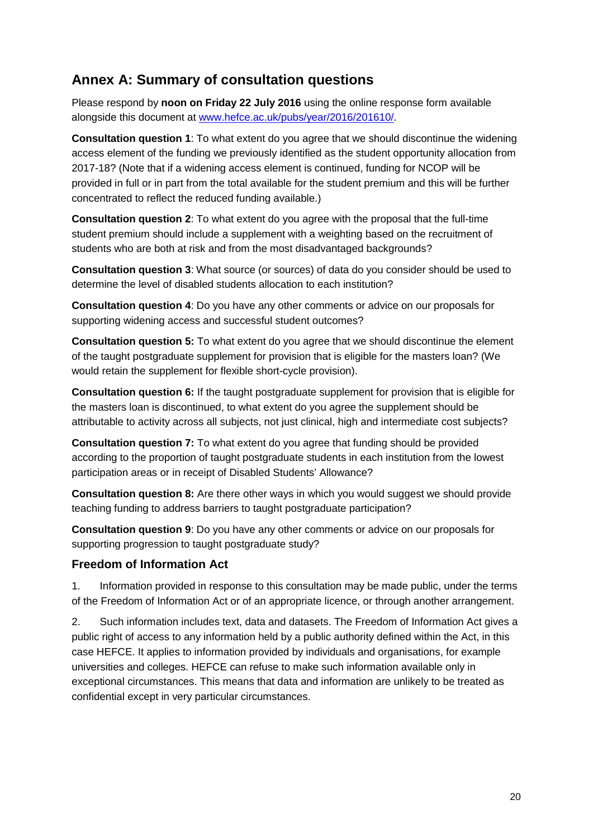# <span id="page-19-0"></span>**Annex A: Summary of consultation questions**

Please respond by **noon on Friday 22 July 2016** using the online response form available alongside this document at [www.hefce.ac.uk/pubs/year/2016/201610/.](http://www.hefce.ac.uk/pubs/year/2016/201610/)

**Consultation question 1**: To what extent do you agree that we should discontinue the widening access element of the funding we previously identified as the student opportunity allocation from 2017-18? (Note that if a widening access element is continued, funding for NCOP will be provided in full or in part from the total available for the student premium and this will be further concentrated to reflect the reduced funding available.)

**Consultation question 2**: To what extent do you agree with the proposal that the full-time student premium should include a supplement with a weighting based on the recruitment of students who are both at risk and from the most disadvantaged backgrounds?

**Consultation question 3**: What source (or sources) of data do you consider should be used to determine the level of disabled students allocation to each institution?

**Consultation question 4**: Do you have any other comments or advice on our proposals for supporting widening access and successful student outcomes?

**Consultation question 5:** To what extent do you agree that we should discontinue the element of the taught postgraduate supplement for provision that is eligible for the masters loan? (We would retain the supplement for flexible short-cycle provision).

**Consultation question 6:** If the taught postgraduate supplement for provision that is eligible for the masters loan is discontinued, to what extent do you agree the supplement should be attributable to activity across all subjects, not just clinical, high and intermediate cost subjects?

**Consultation question 7:** To what extent do you agree that funding should be provided according to the proportion of taught postgraduate students in each institution from the lowest participation areas or in receipt of Disabled Students' Allowance?

**Consultation question 8:** Are there other ways in which you would suggest we should provide teaching funding to address barriers to taught postgraduate participation?

**Consultation question 9**: Do you have any other comments or advice on our proposals for supporting progression to taught postgraduate study?

#### **Freedom of Information Act**

1. Information provided in response to this consultation may be made public, under the terms of the Freedom of Information Act or of an appropriate licence, or through another arrangement.

2. Such information includes text, data and datasets. The Freedom of Information Act gives a public right of access to any information held by a public authority defined within the Act, in this case HEFCE. It applies to information provided by individuals and organisations, for example universities and colleges. HEFCE can refuse to make such information available only in exceptional circumstances. This means that data and information are unlikely to be treated as confidential except in very particular circumstances.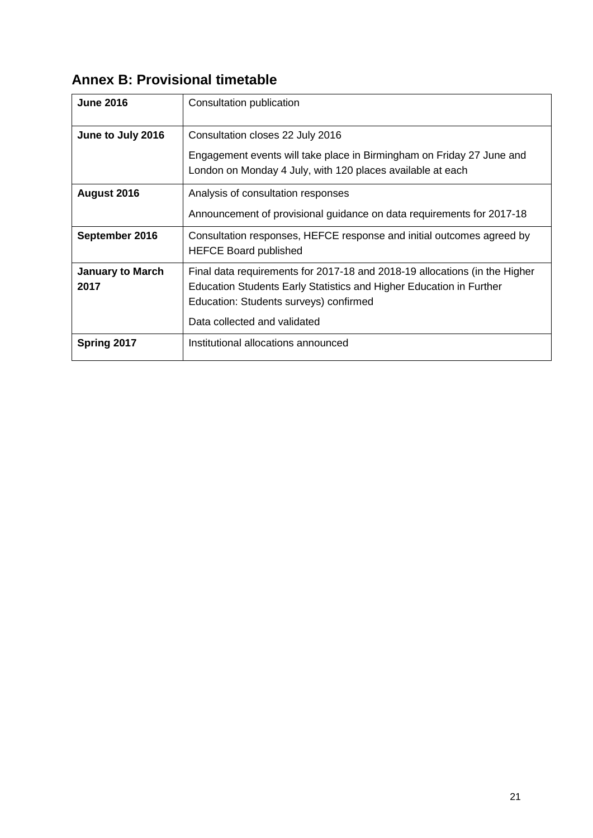# <span id="page-20-0"></span>**Annex B: Provisional timetable**

| <b>June 2016</b>                | Consultation publication                                                                                                                                                                                                    |
|---------------------------------|-----------------------------------------------------------------------------------------------------------------------------------------------------------------------------------------------------------------------------|
| June to July 2016               | Consultation closes 22 July 2016<br>Engagement events will take place in Birmingham on Friday 27 June and<br>London on Monday 4 July, with 120 places available at each                                                     |
| August 2016                     | Analysis of consultation responses<br>Announcement of provisional guidance on data requirements for 2017-18                                                                                                                 |
| September 2016                  | Consultation responses, HEFCE response and initial outcomes agreed by<br><b>HEFCE Board published</b>                                                                                                                       |
| <b>January to March</b><br>2017 | Final data requirements for 2017-18 and 2018-19 allocations (in the Higher<br>Education Students Early Statistics and Higher Education in Further<br>Education: Students surveys) confirmed<br>Data collected and validated |
| Spring 2017                     | Institutional allocations announced                                                                                                                                                                                         |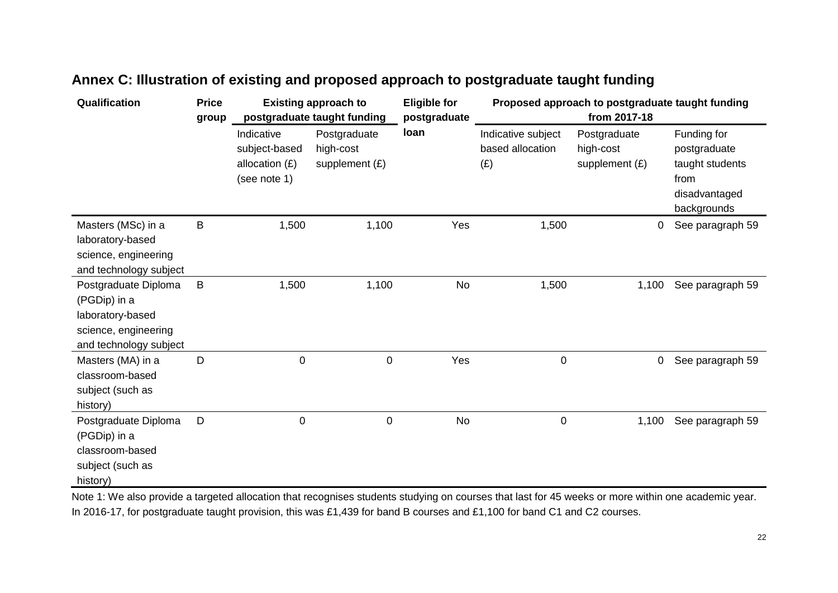| Qualification                                                                                              | <b>Price</b><br>group | <b>Existing approach to</b><br>postgraduate taught funding      |                                               | <b>Eligible for</b><br>postgraduate | Proposed approach to postgraduate taught funding<br>from 2017-18 |                                             |                                                                                        |
|------------------------------------------------------------------------------------------------------------|-----------------------|-----------------------------------------------------------------|-----------------------------------------------|-------------------------------------|------------------------------------------------------------------|---------------------------------------------|----------------------------------------------------------------------------------------|
|                                                                                                            |                       | Indicative<br>subject-based<br>allocation $(E)$<br>(see note 1) | Postgraduate<br>high-cost<br>supplement $(E)$ | loan                                | Indicative subject<br>based allocation<br>(E)                    | Postgraduate<br>high-cost<br>supplement (£) | Funding for<br>postgraduate<br>taught students<br>from<br>disadvantaged<br>backgrounds |
| Masters (MSc) in a<br>laboratory-based<br>science, engineering<br>and technology subject                   | $\sf B$               | 1,500                                                           | 1,100                                         | Yes                                 | 1,500                                                            | 0                                           | See paragraph 59                                                                       |
| Postgraduate Diploma<br>(PGDip) in a<br>laboratory-based<br>science, engineering<br>and technology subject | B                     | 1,500                                                           | 1,100                                         | No                                  | 1,500                                                            | 1,100                                       | See paragraph 59                                                                       |
| Masters (MA) in a<br>classroom-based<br>subject (such as<br>history)                                       | D                     | $\pmb{0}$                                                       | $\pmb{0}$                                     | Yes                                 | $\pmb{0}$                                                        | 0                                           | See paragraph 59                                                                       |
| Postgraduate Diploma<br>(PGDip) in a<br>classroom-based<br>subject (such as<br>history)                    | D                     | 0                                                               | $\pmb{0}$                                     | No                                  | $\pmb{0}$                                                        | 1,100                                       | See paragraph 59                                                                       |

# **Annex C: Illustration of existing and proposed approach to postgraduate taught funding**

<span id="page-21-0"></span>Note 1: We also provide a targeted allocation that recognises students studying on courses that last for 45 weeks or more within one academic year. In 2016-17, for postgraduate taught provision, this was £1,439 for band B courses and £1,100 for band C1 and C2 courses.